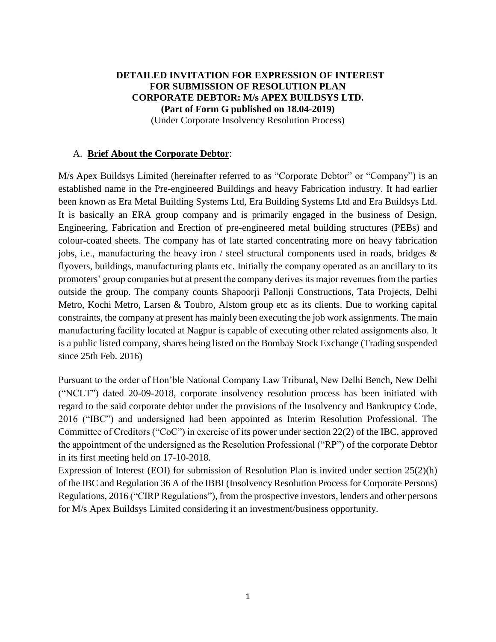### **DETAILED INVITATION FOR EXPRESSION OF INTEREST FOR SUBMISSION OF RESOLUTION PLAN CORPORATE DEBTOR: M/s APEX BUILDSYS LTD. (Part of Form G published on 18.04-2019)** (Under Corporate Insolvency Resolution Process)

A. **Brief About the Corporate Debtor**:

# M/s Apex Buildsys Limited (hereinafter referred to as "Corporate Debtor" or "Company") is an established name in the Pre-engineered Buildings and heavy Fabrication industry. It had earlier been known as Era Metal Building Systems Ltd, Era Building Systems Ltd and Era Buildsys Ltd. It is basically an ERA group company and is primarily engaged in the business of Design, Engineering, Fabrication and Erection of pre-engineered metal building structures (PEBs) and colour-coated sheets. The company has of late started concentrating more on heavy fabrication jobs, i.e., manufacturing the heavy iron / steel structural components used in roads, bridges & flyovers, buildings, manufacturing plants etc. Initially the company operated as an ancillary to its promoters' group companies but at present the company derives its major revenues from the parties outside the group. The company counts Shapoorji Pallonji Constructions, Tata Projects, Delhi Metro, Kochi Metro, Larsen & Toubro, Alstom group etc as its clients. Due to working capital constraints, the company at present has mainly been executing the job work assignments. The main manufacturing facility located at Nagpur is capable of executing other related assignments also. It is a public listed company, shares being listed on the Bombay Stock Exchange (Trading suspended since 25th Feb. 2016)

Pursuant to the order of Hon'ble National Company Law Tribunal, New Delhi Bench, New Delhi ("NCLT") dated 20-09-2018, corporate insolvency resolution process has been initiated with regard to the said corporate debtor under the provisions of the Insolvency and Bankruptcy Code, 2016 ("IBC") and undersigned had been appointed as Interim Resolution Professional. The Committee of Creditors ("CoC") in exercise of its power under section 22(2) of the IBC, approved the appointment of the undersigned as the Resolution Professional ("RP") of the corporate Debtor in its first meeting held on 17-10-2018.

Expression of Interest (EOI) for submission of Resolution Plan is invited under section 25(2)(h) of the IBC and Regulation 36 A of the IBBI (Insolvency Resolution Process for Corporate Persons) Regulations, 2016 ("CIRP Regulations"), from the prospective investors, lenders and other persons for M/s Apex Buildsys Limited considering it an investment/business opportunity.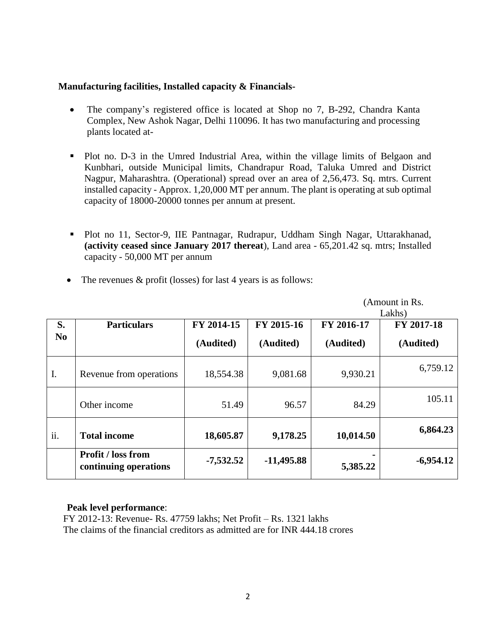#### **Manufacturing facilities, Installed capacity & Financials-**

- The company's registered office is located at Shop no 7, B-292, Chandra Kanta Complex, New Ashok Nagar, Delhi 110096. It has two manufacturing and processing plants located at-
- Plot no. D-3 in the Umred Industrial Area, within the village limits of Belgaon and Kunbhari, outside Municipal limits, Chandrapur Road, Taluka Umred and District Nagpur, Maharashtra. (Operational) spread over an area of 2,56,473. Sq. mtrs. Current installed capacity - Approx. 1,20,000 MT per annum. The plant is operating at sub optimal capacity of 18000-20000 tonnes per annum at present.
- Plot no 11, Sector-9, IIE Pantnagar, Rudrapur, Uddham Singh Nagar, Uttarakhanad, **(activity ceased since January 2017 thereat**), Land area - 65,201.42 sq. mtrs; Installed capacity - 50,000 MT per annum

(Amount in Rs.

|                      |                                                    |             |              |            | Lakhs)      |
|----------------------|----------------------------------------------------|-------------|--------------|------------|-------------|
| S.<br>N <sub>0</sub> | <b>Particulars</b>                                 | FY 2014-15  | FY 2015-16   | FY 2016-17 | FY 2017-18  |
|                      |                                                    | (Audited)   | (Audited)    | (Audited)  | (Audited)   |
| I.                   | Revenue from operations                            | 18,554.38   | 9,081.68     | 9,930.21   | 6,759.12    |
|                      | Other income                                       | 51.49       | 96.57        | 84.29      | 105.11      |
| ii.                  | <b>Total income</b>                                | 18,605.87   | 9,178.25     | 10,014.50  | 6,864.23    |
|                      | <b>Profit / loss from</b><br>continuing operations | $-7,532.52$ | $-11,495.88$ | 5,385.22   | $-6,954.12$ |

• The revenues & profit (losses) for last 4 years is as follows:

#### **Peak level performance**:

 FY 2012-13: Revenue- Rs. 47759 lakhs; Net Profit – Rs. 1321 lakhs The claims of the financial creditors as admitted are for INR 444.18 crores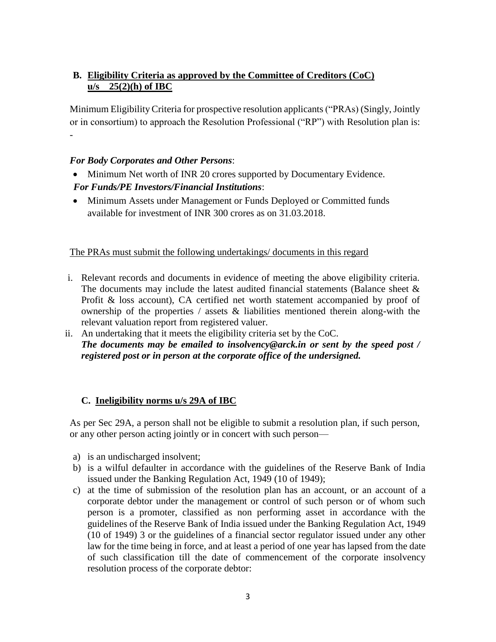## **B. Eligibility Criteria as approved by the Committee of Creditors (CoC) u/s 25(2)(h) of IBC**

Minimum Eligibility Criteria for prospective resolution applicants ("PRAs) (Singly, Jointly or in consortium) to approach the Resolution Professional ("RP") with Resolution plan is: -

## *For Body Corporates and Other Persons*:

- Minimum Net worth of INR 20 crores supported by Documentary Evidence.
- *For Funds/PE Investors/Financial Institutions*:
- Minimum Assets under Management or Funds Deployed or Committed funds available for investment of INR 300 crores as on 31.03.2018.

## The PRAs must submit the following undertakings/ documents in this regard

- i. Relevant records and documents in evidence of meeting the above eligibility criteria. The documents may include the latest audited financial statements (Balance sheet  $\&$ Profit & loss account), CA certified net worth statement accompanied by proof of ownership of the properties / assets & liabilities mentioned therein along-with the relevant valuation report from registered valuer.
- ii. An undertaking that it meets the eligibility criteria set by the CoC. *The documents may be emailed to [insolvency@arck.in](mailto:insolvency@arck.in) or sent by the speed post / registered post or in person at the corporate office of the undersigned.*

## **C. Ineligibility norms u/s 29A of IBC**

As per Sec 29A, a person shall not be eligible to submit a resolution plan, if such person, or any other person acting jointly or in concert with such person—

- a) is an undischarged insolvent;
- b) is a wilful defaulter in accordance with the guidelines of the Reserve Bank of India issued under the Banking Regulation Act, 1949 (10 of 1949);
- c) at the time of submission of the resolution plan has an account, or an account of a corporate debtor under the management or control of such person or of whom such person is a promoter, classified as non performing asset in accordance with the guidelines of the Reserve Bank of India issued under the Banking Regulation Act, 1949 (10 of 1949) 3 or the guidelines of a financial sector regulator issued under any other law for the time being in force, and at least a period of one year has lapsed from the date of such classification till the date of commencement of the corporate insolvency resolution process of the corporate debtor: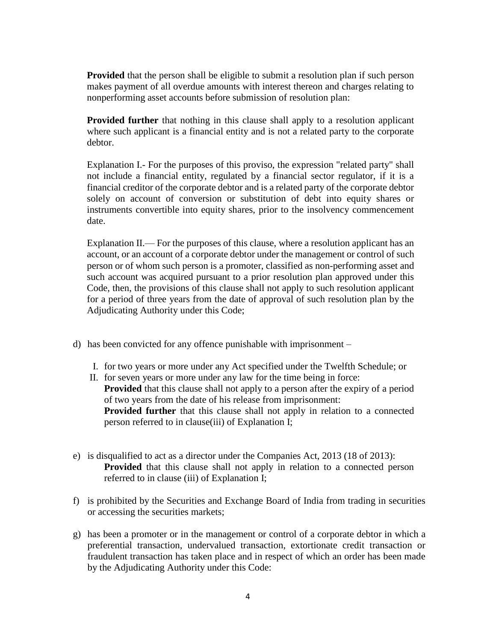**Provided** that the person shall be eligible to submit a resolution plan if such person makes payment of all overdue amounts with interest thereon and charges relating to nonperforming asset accounts before submission of resolution plan:

**Provided further** that nothing in this clause shall apply to a resolution applicant where such applicant is a financial entity and is not a related party to the corporate debtor.

Explanation I.- For the purposes of this proviso, the expression "related party" shall not include a financial entity, regulated by a financial sector regulator, if it is a financial creditor of the corporate debtor and is a related party of the corporate debtor solely on account of conversion or substitution of debt into equity shares or instruments convertible into equity shares, prior to the insolvency commencement date.

Explanation II.— For the purposes of this clause, where a resolution applicant has an account, or an account of a corporate debtor under the management or control of such person or of whom such person is a promoter, classified as non-performing asset and such account was acquired pursuant to a prior resolution plan approved under this Code, then, the provisions of this clause shall not apply to such resolution applicant for a period of three years from the date of approval of such resolution plan by the Adjudicating Authority under this Code;

- d) has been convicted for any offence punishable with imprisonment
	- I. for two years or more under any Act specified under the Twelfth Schedule; or
	- II. for seven years or more under any law for the time being in force: **Provided** that this clause shall not apply to a person after the expiry of a period of two years from the date of his release from imprisonment: **Provided further** that this clause shall not apply in relation to a connected person referred to in clause(iii) of Explanation I;
- e) is disqualified to act as a director under the Companies Act, 2013 (18 of 2013): **Provided** that this clause shall not apply in relation to a connected person referred to in clause (iii) of Explanation I;
- f) is prohibited by the Securities and Exchange Board of India from trading in securities or accessing the securities markets;
- g) has been a promoter or in the management or control of a corporate debtor in which a preferential transaction, undervalued transaction, extortionate credit transaction or fraudulent transaction has taken place and in respect of which an order has been made by the Adjudicating Authority under this Code: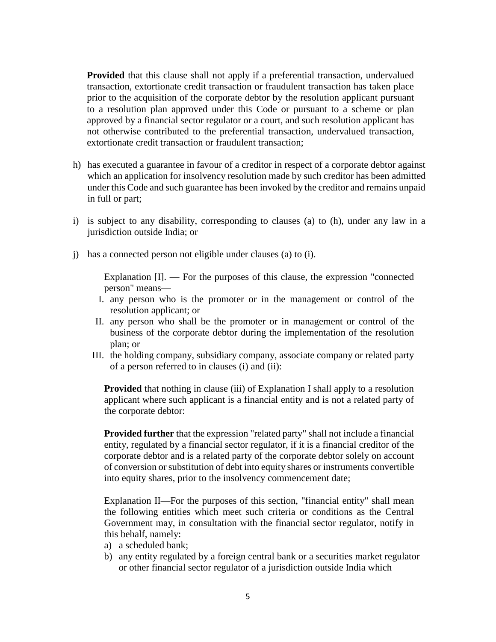**Provided** that this clause shall not apply if a preferential transaction, undervalued transaction, extortionate credit transaction or fraudulent transaction has taken place prior to the acquisition of the corporate debtor by the resolution applicant pursuant to a resolution plan approved under this Code or pursuant to a scheme or plan approved by a financial sector regulator or a court, and such resolution applicant has not otherwise contributed to the preferential transaction, undervalued transaction, extortionate credit transaction or fraudulent transaction;

- h) has executed a guarantee in favour of a creditor in respect of a corporate debtor against which an application for insolvency resolution made by such creditor has been admitted under this Code and such guarantee has been invoked by the creditor and remains unpaid in full or part;
- i) is subject to any disability, corresponding to clauses (a) to (h), under any law in a jurisdiction outside India; or
- j) has a connected person not eligible under clauses (a) to (i).

Explanation [I]. — For the purposes of this clause, the expression "connected person" means—

- I. any person who is the promoter or in the management or control of the resolution applicant; or
- II. any person who shall be the promoter or in management or control of the business of the corporate debtor during the implementation of the resolution plan; or
- III. the holding company, subsidiary company, associate company or related party of a person referred to in clauses (i) and (ii):

**Provided** that nothing in clause (iii) of Explanation I shall apply to a resolution applicant where such applicant is a financial entity and is not a related party of the corporate debtor:

**Provided further** that the expression "related party" shall not include a financial entity, regulated by a financial sector regulator, if it is a financial creditor of the corporate debtor and is a related party of the corporate debtor solely on account of conversion or substitution of debt into equity shares or instruments convertible into equity shares, prior to the insolvency commencement date;

Explanation II—For the purposes of this section, "financial entity" shall mean the following entities which meet such criteria or conditions as the Central Government may, in consultation with the financial sector regulator, notify in this behalf, namely:

- a) a scheduled bank;
- b) any entity regulated by a foreign central bank or a securities market regulator or other financial sector regulator of a jurisdiction outside India which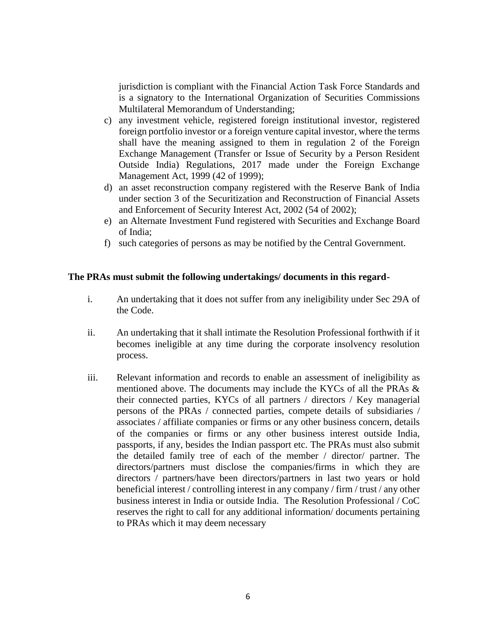jurisdiction is compliant with the Financial Action Task Force Standards and is a signatory to the International Organization of Securities Commissions Multilateral Memorandum of Understanding;

- c) any investment vehicle, registered foreign institutional investor, registered foreign portfolio investor or a foreign venture capital investor, where the terms shall have the meaning assigned to them in regulation 2 of the Foreign Exchange Management (Transfer or Issue of Security by a Person Resident Outside India) Regulations, 2017 made under the Foreign Exchange Management Act, 1999 (42 of 1999);
- d) an asset reconstruction company registered with the Reserve Bank of India under section 3 of the Securitization and Reconstruction of Financial Assets and Enforcement of Security Interest Act, 2002 (54 of 2002);
- e) an Alternate Investment Fund registered with Securities and Exchange Board of India;
- f) such categories of persons as may be notified by the Central Government.

#### **The PRAs must submit the following undertakings/ documents in this regard-**

- i. An undertaking that it does not suffer from any ineligibility under Sec 29A of the Code.
- ii. An undertaking that it shall intimate the Resolution Professional forthwith if it becomes ineligible at any time during the corporate insolvency resolution process.
- iii. Relevant information and records to enable an assessment of ineligibility as mentioned above. The documents may include the KYCs of all the PRAs & their connected parties, KYCs of all partners / directors / Key managerial persons of the PRAs / connected parties, compete details of subsidiaries / associates / affiliate companies or firms or any other business concern, details of the companies or firms or any other business interest outside India, passports, if any, besides the Indian passport etc. The PRAs must also submit the detailed family tree of each of the member / director/ partner. The directors/partners must disclose the companies/firms in which they are directors / partners/have been directors/partners in last two years or hold beneficial interest / controlling interest in any company / firm / trust / any other business interest in India or outside India. The Resolution Professional / CoC reserves the right to call for any additional information/ documents pertaining to PRAs which it may deem necessary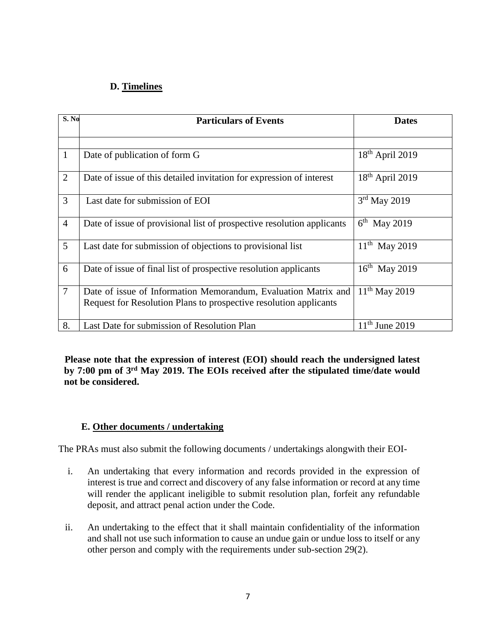## **D. Timelines**

| S. No          | <b>Particulars of Events</b>                                           | <b>Dates</b>                 |  |  |  |  |
|----------------|------------------------------------------------------------------------|------------------------------|--|--|--|--|
|                |                                                                        |                              |  |  |  |  |
|                |                                                                        |                              |  |  |  |  |
| $\mathbf{1}$   | Date of publication of form G                                          | $18th$ April 2019            |  |  |  |  |
|                |                                                                        |                              |  |  |  |  |
| $\overline{2}$ | Date of issue of this detailed invitation for expression of interest   | $18th$ April 2019            |  |  |  |  |
|                |                                                                        |                              |  |  |  |  |
| 3              | Last date for submission of EOI                                        | $3rd$ May 2019               |  |  |  |  |
|                |                                                                        |                              |  |  |  |  |
| $\overline{4}$ | Date of issue of provisional list of prospective resolution applicants | $6^{th}$ May 2019            |  |  |  |  |
|                |                                                                        |                              |  |  |  |  |
| 5              | Last date for submission of objections to provisional list             | 11 <sup>th</sup><br>May 2019 |  |  |  |  |
|                |                                                                        |                              |  |  |  |  |
| 6              | Date of issue of final list of prospective resolution applicants       | $16^{th}$ May 2019           |  |  |  |  |
|                |                                                                        |                              |  |  |  |  |
| $\overline{7}$ | Date of issue of Information Memorandum, Evaluation Matrix and         | $11^{th}$ May 2019           |  |  |  |  |
|                | Request for Resolution Plans to prospective resolution applicants      |                              |  |  |  |  |
|                |                                                                        |                              |  |  |  |  |
| 8.             | Last Date for submission of Resolution Plan                            | $11^{th}$ June 2019          |  |  |  |  |

 **Please note that the expression of interest (EOI) should reach the undersigned latest**  by 7:00 pm of 3<sup>rd</sup> May 2019. The EOIs received after the stipulated time/date would **not be considered.**

### **E. Other documents / undertaking**

The PRAs must also submit the following documents / undertakings alongwith their EOI-

- i. An undertaking that every information and records provided in the expression of interest is true and correct and discovery of any false information or record at any time will render the applicant ineligible to submit resolution plan, forfeit any refundable deposit, and attract penal action under the Code.
- ii. An undertaking to the effect that it shall maintain confidentiality of the information and shall not use such information to cause an undue gain or undue loss to itself or any other person and comply with the requirements under sub-section 29(2).